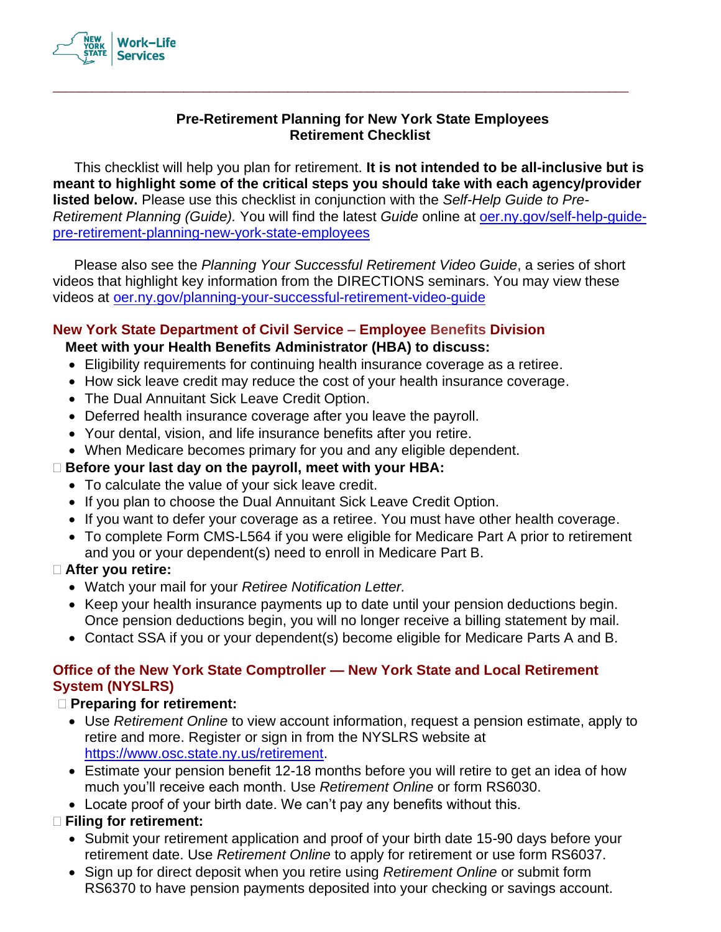

## **Pre-Retirement Planning for New York State Employees Retirement Checklist**

\_\_\_\_\_\_\_\_\_\_\_\_\_\_\_\_\_\_\_\_\_\_\_\_\_\_\_\_\_\_\_\_\_\_\_\_\_\_\_\_\_\_\_\_\_\_\_\_\_\_\_\_\_\_\_\_\_\_\_\_\_\_\_\_\_\_\_\_\_\_\_\_\_\_\_\_\_\_\_\_\_\_\_\_\_\_\_\_

This checklist will help you plan for retirement. **It is not intended to be all-inclusive but is meant to highlight some of the critical steps you should take with each agency/provider listed below.** Please use this checklist in conjunction with the *Self-Help Guide to Pre-Retirement Planning (Guide).* You will find the latest *Guide* [online at oer.ny.gov/self-help-guide](https://goer.ny.gov/self-help-guide-pre-retirement-planning-new-york-state-employees)[pre-retirement-planning-new-york-state-employe](https://goer.ny.gov/self-help-guide-pre-retirement-planning-new-york-state-employees)es

Please also see the *Planning Your Successful Retirement Video Guide*, a series of short videos that highlight key information from the DIRECTIONS seminars. You may view these videos at [oer.ny.gov/planning-your-successful-retirement-video-guide](https://goer.ny.gov/planning-your-successful-retirement-video-guide)

## **New York State Department of Civil Service – Employee Benefits Division**

## **Meet with your Health Benefits Administrator (HBA) to discuss:**

- Eligibility requirements for continuing health insurance coverage as a retiree.
- How sick leave credit may reduce the cost of your health insurance coverage.
- The Dual Annuitant Sick Leave Credit Option.
- Deferred health insurance coverage after you leave the payroll.
- Your dental, vision, and life insurance benefits after you retire.
- When Medicare becomes primary for you and any eligible dependent.

## **Before your last day on the payroll, meet with your HBA:**

- To calculate the value of your sick leave credit.
- If you plan to choose the Dual Annuitant Sick Leave Credit Option.
- If you want to defer your coverage as a retiree. You must have other health coverage.
- To complete Form CMS-L564 if you were eligible for Medicare Part A prior to retirement and you or your dependent(s) need to enroll in Medicare Part B.

## **After you retire:**

- Watch your mail for your *Retiree Notification Letter.*
- Keep your health insurance payments up to date until your pension deductions begin. Once pension deductions begin, you will no longer receive a billing statement by mail.
- Contact SSA if you or your dependent(s) become eligible for Medicare Parts A and B.

#### **Office of the New York State Comptroller — New York State and Local Retirement System (NYSLRS)**

## **Preparing for retirement:**

- Use *Retirement Online* to view account information, request a pension estimate, apply to retire and more. Register or sign in from the NYSLRS website at [https://www.osc.state.ny.us/retirement.](https://www.osc.state.ny.us/retirement)
- Estimate your pension benefit 12-18 months before you will retire to get an idea of how much you'll receive each month. Use *Retirement Online* or form RS6030.
- Locate proof of your birth date. We can't pay any benefits without this.

## **Filing for retirement:**

- Submit your retirement application and proof of your birth date 15-90 days before your retirement date. Use *Retirement Online* to apply for retirement or use form RS6037.
- Sign up for direct deposit when you retire using *Retirement Online* or submit form RS6370 to have pension payments deposited into your checking or savings account.